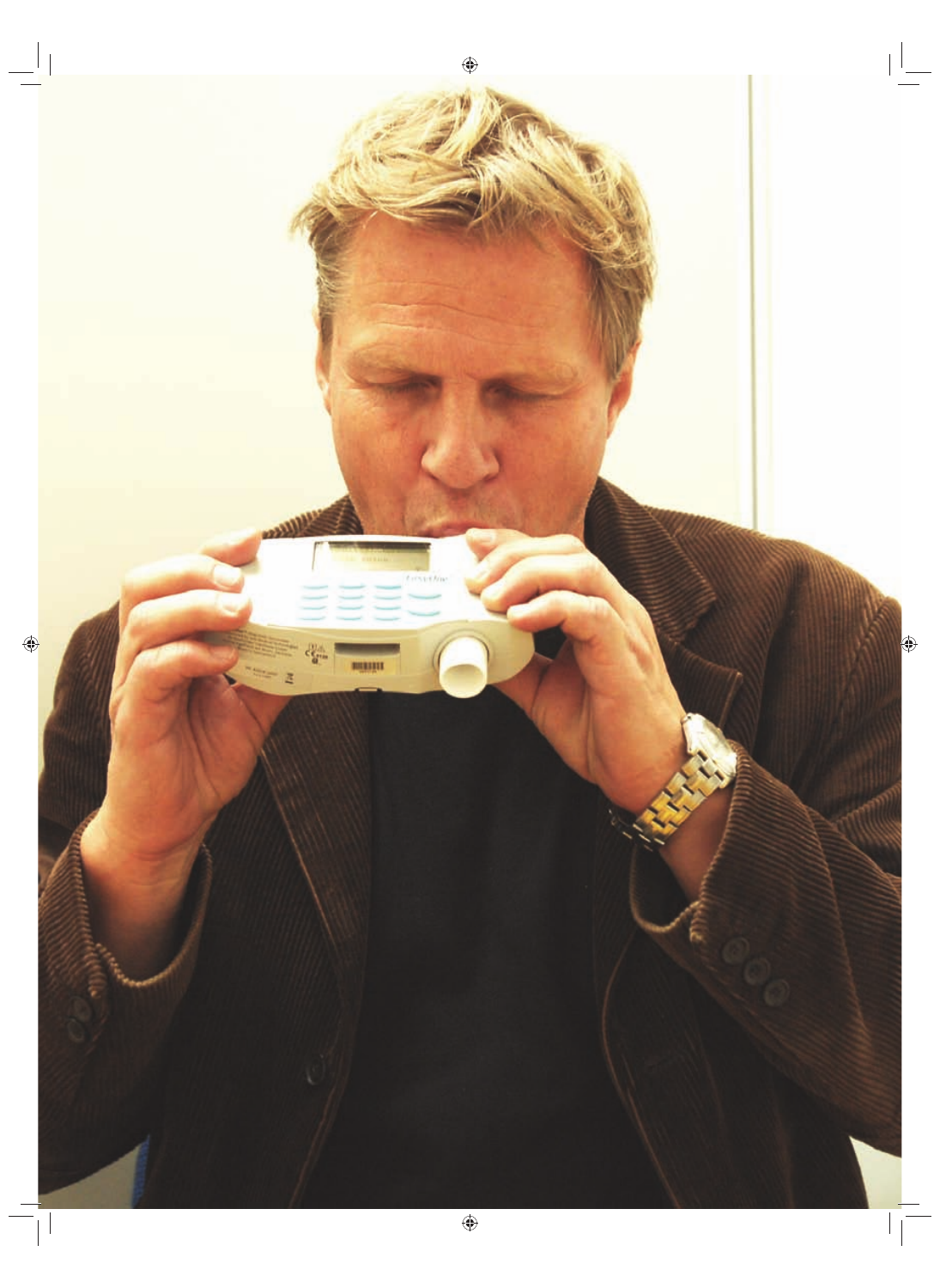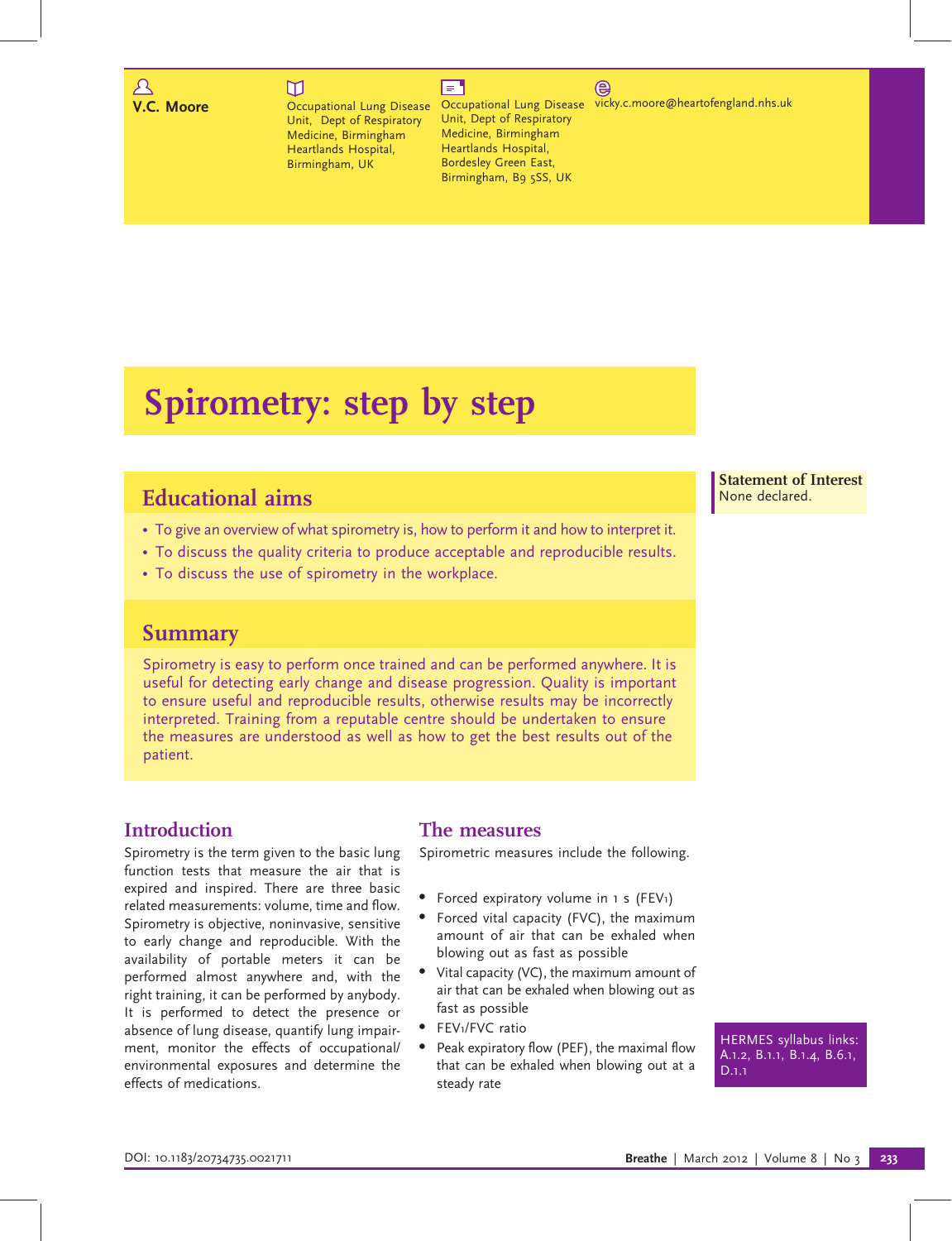# $\boxdot$

V.C. Moore **Occupational Lung Disease** Unit, Dept of Respiratory Medicine, Birmingham Heartlands Hospital, Birmingham, UK

 $\boxed{=}$ Occupational Lung Disease vicky.c.moore@heartofengland.nhs.uk Unit, Dept of Respiratory Medicine, Birmingham Heartlands Hospital, Bordesley Green East, Birmingham, B9 5SS, UK

⊜

# Spirometry: step by step

# Educational aims

- To give an overview of what spirometry is, how to perform it and how to interpret it.
- To discuss the quality criteria to produce acceptable and reproducible results.
- To discuss the use of spirometry in the workplace.

# **Summary**

Spirometry is easy to perform once trained and can be performed anywhere. It is useful for detecting early change and disease progression. Quality is important to ensure useful and reproducible results, otherwise results may be incorrectly interpreted. Training from a reputable centre should be undertaken to ensure the measures are understood as well as how to get the best results out of the patient.

# **Introduction**

Spirometry is the term given to the basic lung function tests that measure the air that is expired and inspired. There are three basic related measurements: volume, time and flow. Spirometry is objective, noninvasive, sensitive to early change and reproducible. With the availability of portable meters it can be performed almost anywhere and, with the right training, it can be performed by anybody. It is performed to detect the presence or absence of lung disease, quantify lung impairment, monitor the effects of occupational/ environmental exposures and determine the effects of medications.

# The measures

Spirometric measures include the following.

- Forced expiratory volume in 1 s (FEV1)
- Forced vital capacity (FVC), the maximum amount of air that can be exhaled when blowing out as fast as possible
- $\bullet$  Vital capacity (VC), the maximum amount of air that can be exhaled when blowing out as fast as possible
- FEV<sub>1</sub>/FVC ratio
- Peak expiratory flow (PEF), the maximal flow that can be exhaled when blowing out at a steady rate

HERMES syllabus links: A.1.2, B.1.1, B.1.4, B.6.1, D.1.1

Statement of Interest None declared.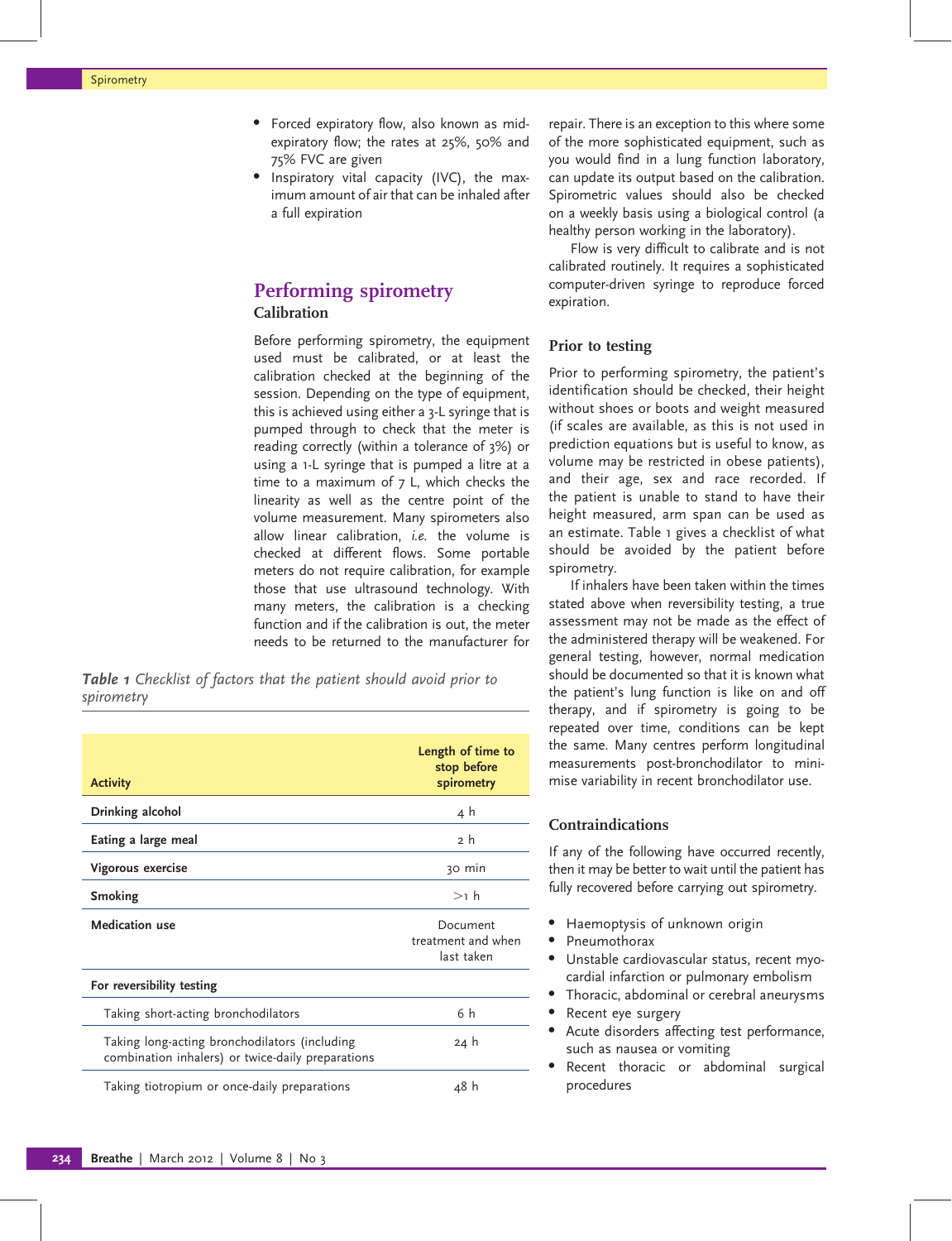- Forced expiratory flow, also known as midexpiratory flow; the rates at 25%, 50% and 75% FVC are given
- Inspiratory vital capacity (IVC), the maximum amount of air that can be inhaled after a full expiration

# Performing spirometry Calibration

Before performing spirometry, the equipment used must be calibrated, or at least the calibration checked at the beginning of the session. Depending on the type of equipment, this is achieved using either a 3-L syringe that is pumped through to check that the meter is reading correctly (within a tolerance of 3%) or using a 1-L syringe that is pumped a litre at a time to a maximum of 7 L, which checks the linearity as well as the centre point of the volume measurement. Many spirometers also allow linear calibration, *i.e.* the volume is checked at different flows. Some portable meters do not require calibration, for example those that use ultrasound technology. With many meters, the calibration is a checking function and if the calibration is out, the meter needs to be returned to the manufacturer for

Table 1 Checklist of factors that the patient should avoid prior to spirometry

| <b>Activity</b>                                                                                    | Length of time to<br>stop before<br>spirometry |
|----------------------------------------------------------------------------------------------------|------------------------------------------------|
| Drinking alcohol                                                                                   | 4 h                                            |
| Eating a large meal                                                                                | 2 h                                            |
| Vigorous exercise                                                                                  | 30 min                                         |
| <b>Smoking</b>                                                                                     | $>1$ h                                         |
| <b>Medication use</b>                                                                              | Document<br>treatment and when<br>last taken   |
| For reversibility testing                                                                          |                                                |
| Taking short-acting bronchodilators                                                                | 6 h                                            |
| Taking long-acting bronchodilators (including<br>combination inhalers) or twice-daily preparations | 24 h                                           |
| Taking tiotropium or once-daily preparations                                                       | 48 h                                           |

repair. There is an exception to this where some of the more sophisticated equipment, such as you would find in a lung function laboratory, can update its output based on the calibration. Spirometric values should also be checked on a weekly basis using a biological control (a healthy person working in the laboratory).

Flow is very difficult to calibrate and is not calibrated routinely. It requires a sophisticated computer-driven syringe to reproduce forced expiration.

#### Prior to testing

Prior to performing spirometry, the patient's identification should be checked, their height without shoes or boots and weight measured (if scales are available, as this is not used in prediction equations but is useful to know, as volume may be restricted in obese patients), and their age, sex and race recorded. If the patient is unable to stand to have their height measured, arm span can be used as an estimate. Table 1 gives a checklist of what should be avoided by the patient before spirometry.

If inhalers have been taken within the times stated above when reversibility testing, a true assessment may not be made as the effect of the administered therapy will be weakened. For general testing, however, normal medication should be documented so that it is known what the patient's lung function is like on and off therapy, and if spirometry is going to be repeated over time, conditions can be kept the same. Many centres perform longitudinal measurements post-bronchodilator to minimise variability in recent bronchodilator use.

#### Contraindications

If any of the following have occurred recently, then it may be better to wait until the patient has fully recovered before carrying out spirometry.

- Haemoptysis of unknown origin
- Pneumothorax
- Unstable cardiovascular status, recent myocardial infarction or pulmonary embolism
- Thoracic, abdominal or cerebral aneurysms
- Recent eye surgery
- Acute disorders affecting test performance, such as nausea or vomiting
- Recent thoracic or abdominal surgical procedures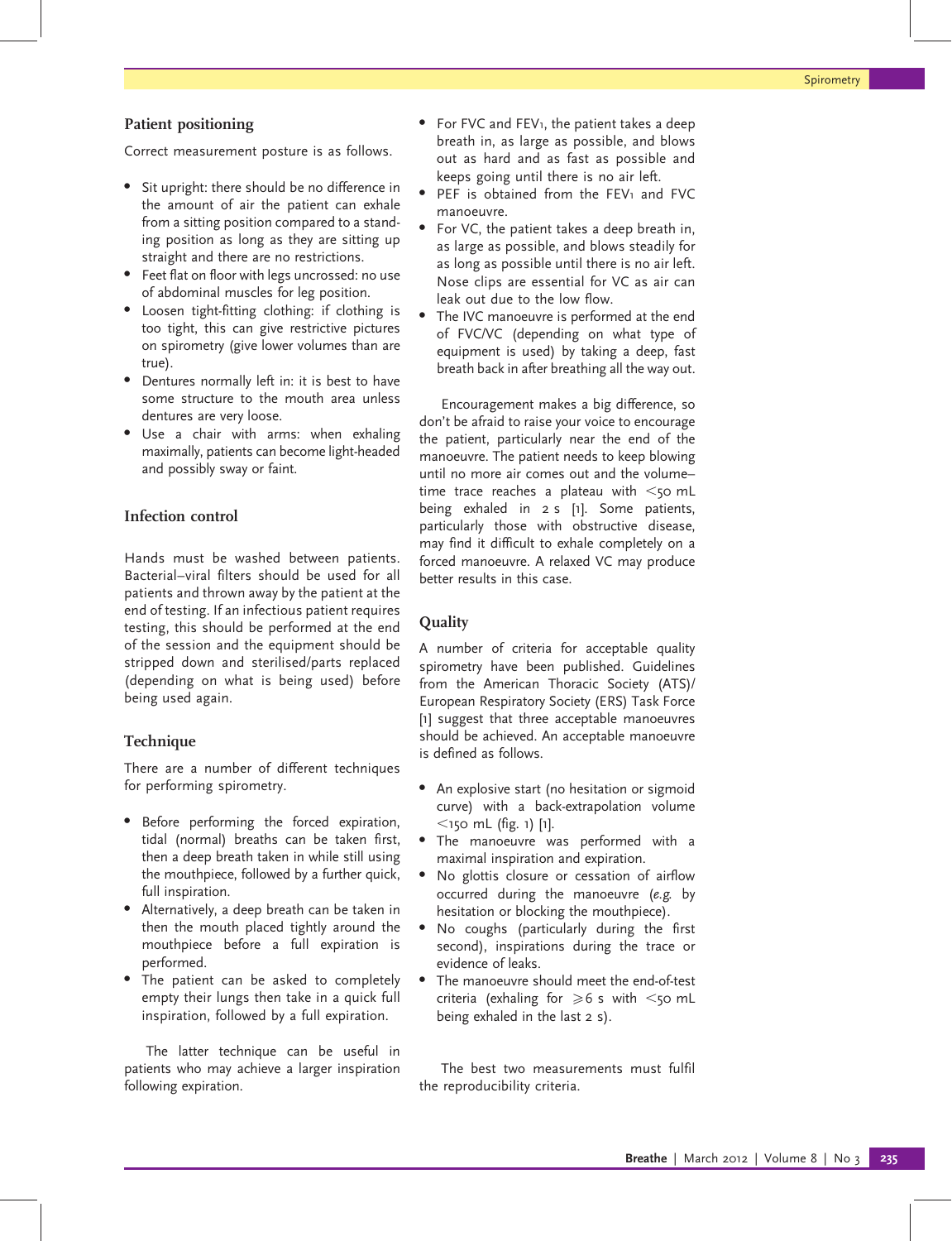#### Patient positioning

Correct measurement posture is as follows.

- Sit upright: there should be no difference in the amount of air the patient can exhale from a sitting position compared to a standing position as long as they are sitting up straight and there are no restrictions.
- Feet flat on floor with legs uncrossed: no use of abdominal muscles for leg position.
- Loosen tight-fitting clothing: if clothing is too tight, this can give restrictive pictures on spirometry (give lower volumes than are true).
- Dentures normally left in: it is best to have some structure to the mouth area unless dentures are very loose.
- Use a chair with arms: when exhaling maximally, patients can become light-headed and possibly sway or faint.

#### Infection control

Hands must be washed between patients. Bacterial–viral filters should be used for all patients and thrown away by the patient at the end of testing. If an infectious patient requires testing, this should be performed at the end of the session and the equipment should be stripped down and sterilised/parts replaced (depending on what is being used) before being used again.

#### Technique

There are a number of different techniques for performing spirometry.

- Before performing the forced expiration, tidal (normal) breaths can be taken first, then a deep breath taken in while still using the mouthpiece, followed by a further quick, full inspiration.
- Alternatively, a deep breath can be taken in then the mouth placed tightly around the mouthpiece before a full expiration is performed.
- The patient can be asked to completely empty their lungs then take in a quick full inspiration, followed by a full expiration.

The latter technique can be useful in patients who may achieve a larger inspiration following expiration.

- For FVC and FEV<sub>1</sub>, the patient takes a deep breath in, as large as possible, and blows out as hard and as fast as possible and keeps going until there is no air left.
- PEF is obtained from the FEV<sub>1</sub> and FVC manoeuvre.
- For VC, the patient takes a deep breath in, as large as possible, and blows steadily for as long as possible until there is no air left. Nose clips are essential for VC as air can leak out due to the low flow.
- The IVC manoeuvre is performed at the end of FVC/VC (depending on what type of equipment is used) by taking a deep, fast breath back in after breathing all the way out.

Encouragement makes a big difference, so don't be afraid to raise your voice to encourage the patient, particularly near the end of the manoeuvre. The patient needs to keep blowing until no more air comes out and the volume– time trace reaches a plateau with  $\leq$ 50 mL being exhaled in 2 s [1]. Some patients, particularly those with obstructive disease, may find it difficult to exhale completely on a forced manoeuvre. A relaxed VC may produce better results in this case.

#### **Quality**

A number of criteria for acceptable quality spirometry have been published. Guidelines from the American Thoracic Society (ATS)/ European Respiratory Society (ERS) Task Force [1] suggest that three acceptable manoeuvres should be achieved. An acceptable manoeuvre is defined as follows.

- An explosive start (no hesitation or sigmoid curve) with a back-extrapolation volume  $<$ 150 mL (fig. 1) [1].
- The manoeuvre was performed with a maximal inspiration and expiration.
- No glottis closure or cessation of airflow occurred during the manoeuvre (e.g. by hesitation or blocking the mouthpiece).
- No coughs (particularly during the first second), inspirations during the trace or evidence of leaks.
- The manoeuvre should meet the end-of-test criteria (exhaling for  $\geq 6$  s with  $\leq$ 50 mL being exhaled in the last 2 s).

The best two measurements must fulfil the reproducibility criteria.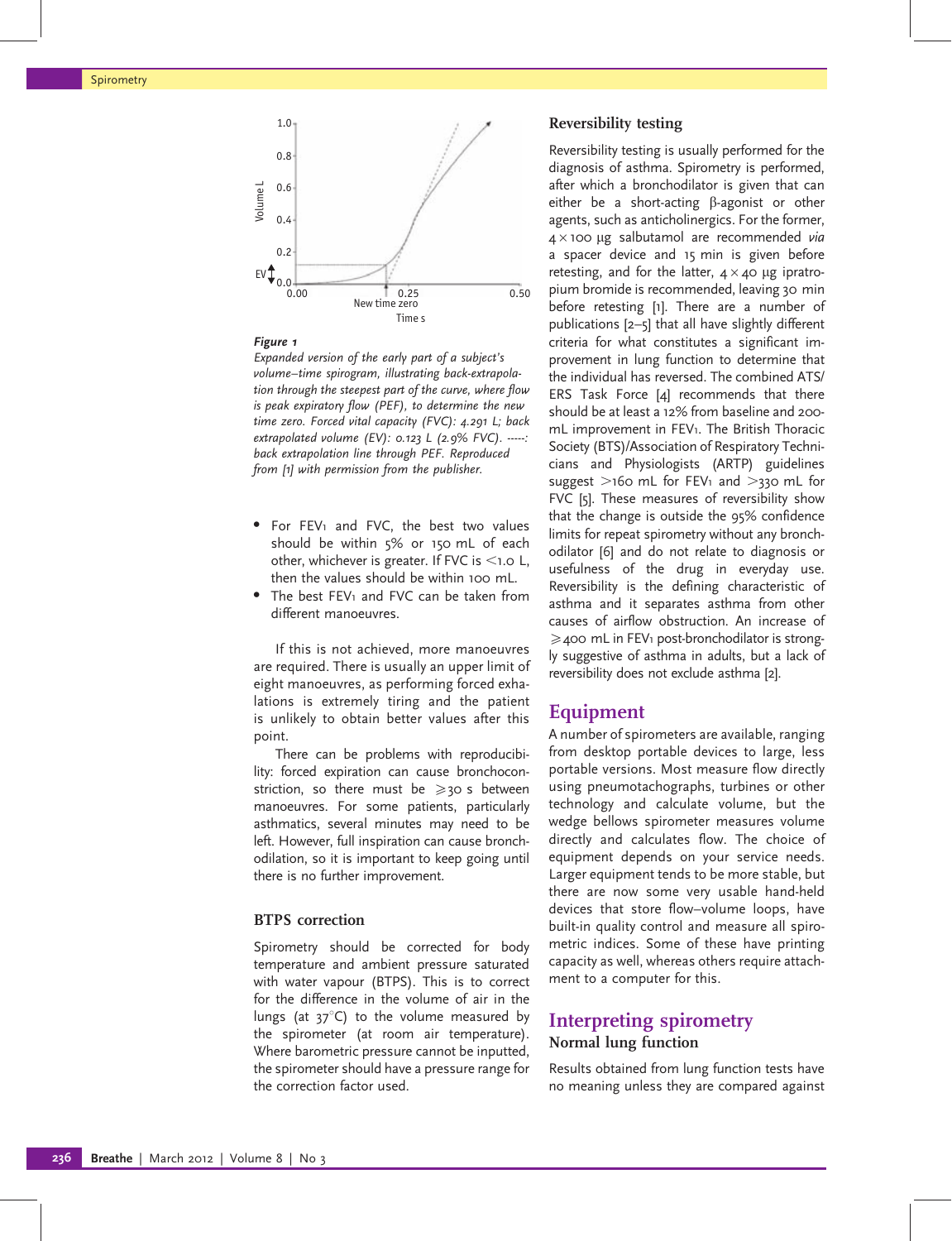

#### Figure 1

Expanded version of the early part of a subject's volume–time spirogram, illustrating back-extrapolation through the steepest part of the curve, where flow is peak expiratory flow (PEF), to determine the new time zero. Forced vital capacity (FVC): 4.291 L; back extrapolated volume (EV):  $0.123$  L (2.9% FVC). -----: back extrapolation line through PEF. Reproduced from [1] with permission from the publisher.

- For FEV<sub>1</sub> and FVC, the best two values should be within 5% or 150 mL of each other, whichever is greater. If FVC is  $\leq$ 1.0 L, then the values should be within 100 mL.
- The best  $FEV_1$  and  $FVC$  can be taken from different manoeuvres.

If this is not achieved, more manoeuvres are required. There is usually an upper limit of eight manoeuvres, as performing forced exhalations is extremely tiring and the patient is unlikely to obtain better values after this point.

There can be problems with reproducibility: forced expiration can cause bronchoconstriction, so there must be  $\geq$ 30 s between manoeuvres. For some patients, particularly asthmatics, several minutes may need to be left. However, full inspiration can cause bronchodilation, so it is important to keep going until there is no further improvement.

#### BTPS correction

Spirometry should be corrected for body temperature and ambient pressure saturated with water vapour (BTPS). This is to correct for the difference in the volume of air in the lungs (at  $37^{\circ}$ C) to the volume measured by the spirometer (at room air temperature). Where barometric pressure cannot be inputted, the spirometer should have a pressure range for the correction factor used.

#### Reversibility testing

Reversibility testing is usually performed for the diagnosis of asthma. Spirometry is performed, after which a bronchodilator is given that can either be a short-acting  $\beta$ -agonist or other agents, such as anticholinergics. For the former,  $4 \times 100$  µg salbutamol are recommended via a spacer device and 15 min is given before retesting, and for the latter,  $4 \times 40$  µg ipratropium bromide is recommended, leaving 30 min before retesting [1]. There are a number of publications [2–5] that all have slightly different criteria for what constitutes a significant improvement in lung function to determine that the individual has reversed. The combined ATS/ ERS Task Force [4] recommends that there should be at least a 12% from baseline and 200 mL improvement in FEV1. The British Thoracic Society (BTS)/Association of Respiratory Technicians and Physiologists (ARTP) guidelines suggest  $>160$  mL for FEV<sub>1</sub> and  $>330$  mL for FVC [5]. These measures of reversibility show that the change is outside the 95% confidence limits for repeat spirometry without any bronchodilator [6] and do not relate to diagnosis or usefulness of the drug in everyday use. Reversibility is the defining characteristic of asthma and it separates asthma from other causes of airflow obstruction. An increase of  $\geqslant$  400 mL in FEV<sub>1</sub> post-bronchodilator is strongly suggestive of asthma in adults, but a lack of reversibility does not exclude asthma [2].

### Equipment

A number of spirometers are available, ranging from desktop portable devices to large, less portable versions. Most measure flow directly using pneumotachographs, turbines or other technology and calculate volume, but the wedge bellows spirometer measures volume directly and calculates flow. The choice of equipment depends on your service needs. Larger equipment tends to be more stable, but there are now some very usable hand-held devices that store flow–volume loops, have built-in quality control and measure all spirometric indices. Some of these have printing capacity as well, whereas others require attachment to a computer for this.

# Interpreting spirometry Normal lung function

Results obtained from lung function tests have no meaning unless they are compared against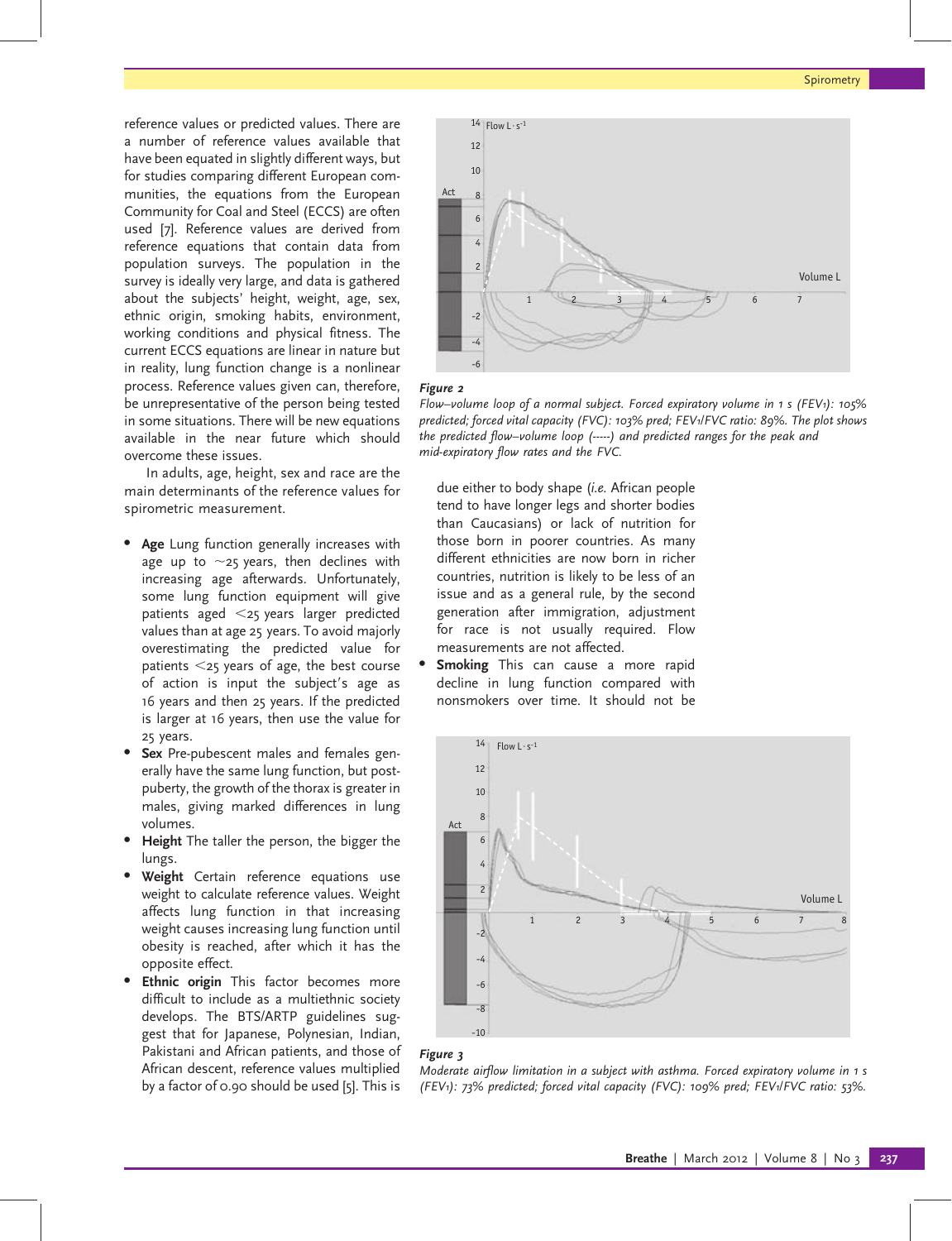reference values or predicted values. There are a number of reference values available that have been equated in slightly different ways, but for studies comparing different European communities, the equations from the European Community for Coal and Steel (ECCS) are often used [7]. Reference values are derived from reference equations that contain data from population surveys. The population in the survey is ideally very large, and data is gathered about the subjects' height, weight, age, sex, ethnic origin, smoking habits, environment, working conditions and physical fitness. The current ECCS equations are linear in nature but in reality, lung function change is a nonlinear process. Reference values given can, therefore, be unrepresentative of the person being tested in some situations. There will be new equations available in the near future which should overcome these issues.

In adults, age, height, sex and race are the main determinants of the reference values for spirometric measurement.

- Age Lung function generally increases with age up to  $\sim$ 25 years, then declines with increasing age afterwards. Unfortunately, some lung function equipment will give patients aged  $\leq$ 25 years larger predicted values than at age 25 years. To avoid majorly overestimating the predicted value for patients  $\leq$ 25 years of age, the best course of action is input the subject's age as 16 years and then 25 years. If the predicted is larger at 16 years, then use the value for 25 years.
- Sex Pre-pubescent males and females generally have the same lung function, but postpuberty, the growth of the thorax is greater in males, giving marked differences in lung volumes.
- Height The taller the person, the bigger the lungs.
- · Weight Certain reference equations use weight to calculate reference values. Weight affects lung function in that increasing weight causes increasing lung function until obesity is reached, after which it has the opposite effect.
- Ethnic origin This factor becomes more difficult to include as a multiethnic society develops. The BTS/ARTP guidelines suggest that for Japanese, Polynesian, Indian, Pakistani and African patients, and those of African descent, reference values multiplied by a factor of 0.90 should be used [5]. This is



#### Figure 2

Flow-volume loop of a normal subject. Forced expiratory volume in 1 s (FEV1): 105% predicted; forced vital capacity (FVC): 103% pred; FEV1/FVC ratio: 89%. The plot shows the predicted flow–volume loop (-----) and predicted ranges for the peak and mid-expiratory flow rates and the FVC.

due either to body shape (i.e. African people tend to have longer legs and shorter bodies than Caucasians) or lack of nutrition for those born in poorer countries. As many different ethnicities are now born in richer countries, nutrition is likely to be less of an issue and as a general rule, by the second generation after immigration, adjustment for race is not usually required. Flow measurements are not affected.

Smoking This can cause a more rapid decline in lung function compared with nonsmokers over time. It should not be





Moderate airflow limitation in a subject with asthma. Forced expiratory volume in 1 s  $(FEV_1)$ : 73% predicted; forced vital capacity  $(FVC)$ : 109% pred;  $FEV_1/FVC$  ratio: 53%.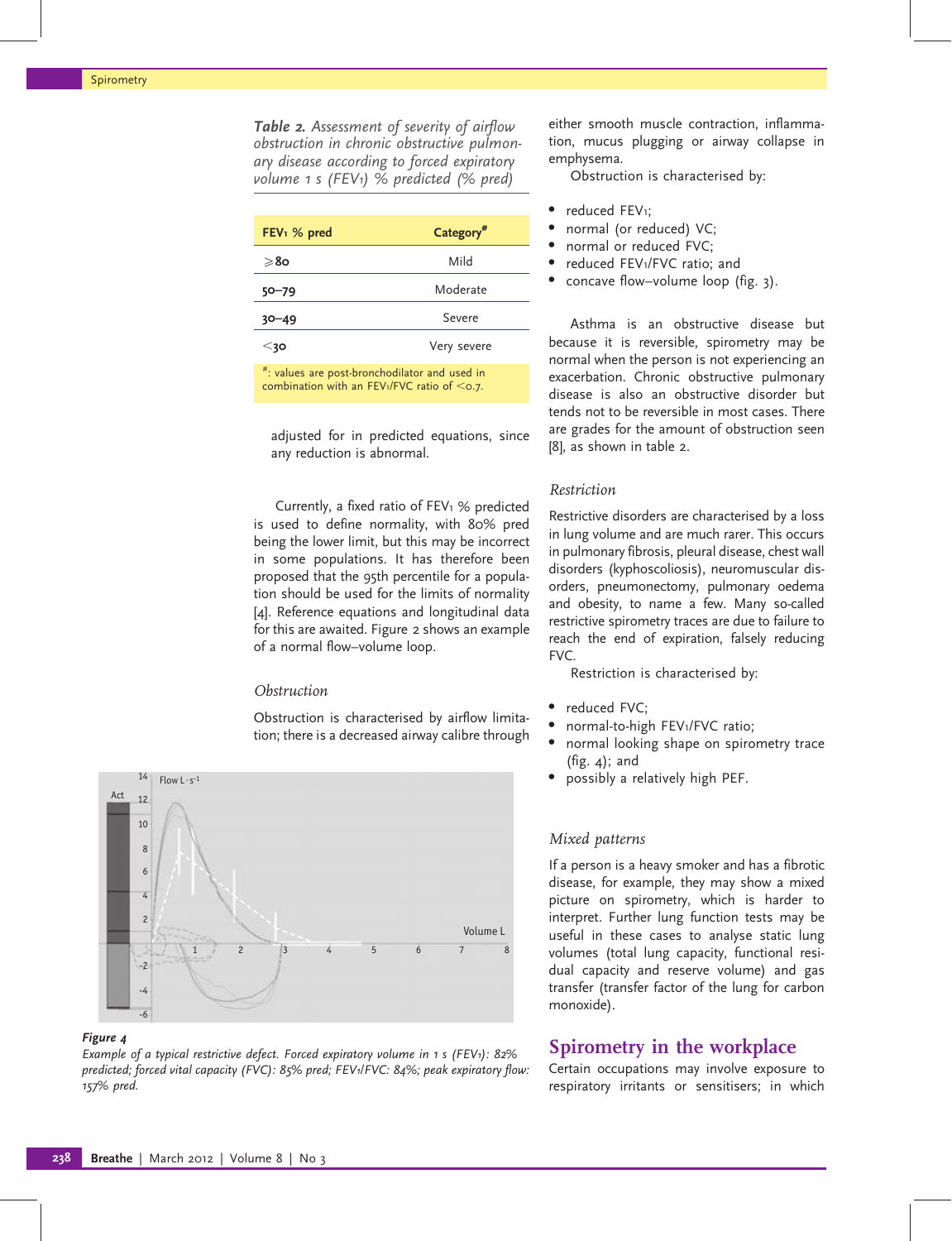Table 2. Assessment of severity of airflow obstruction in chronic obstructive pulmonary disease according to forced expiratory volume 1 s (FEV1) % predicted (% pred)

| FEV <sub>1</sub> % pred                                                                            | Category <sup>#</sup> |
|----------------------------------------------------------------------------------------------------|-----------------------|
| ≳8o                                                                                                | Mild                  |
| $50 - 79$                                                                                          | Moderate              |
| $30 - 49$                                                                                          | Severe                |
| $<$ 30                                                                                             | Very severe           |
| #: values are post-bronchodilator and used in<br>combination with an FEV1/FVC ratio of $\leq$ 0.7. |                       |

adjusted for in predicted equations, since any reduction is abnormal.

Currently, a fixed ratio of FEV1 % predicted is used to define normality, with 80% pred being the lower limit, but this may be incorrect in some populations. It has therefore been proposed that the 95th percentile for a population should be used for the limits of normality [4]. Reference equations and longitudinal data for this are awaited. Figure 2 shows an example of a normal flow–volume loop.

#### Obstruction

Obstruction is characterised by airflow limitation; there is a decreased airway calibre through



#### Figure 4

Example of a typical restrictive defect. Forced expiratory volume in 1 s (FEV1): 82% predicted; forced vital capacity (FVC): 85% pred; FEV1/FVC: 84%; peak expiratory flow: 157% pred.

either smooth muscle contraction, inflammation, mucus plugging or airway collapse in emphysema.

Obstruction is characterised by:

- reduced FEV<sub>1</sub>;
- normal (or reduced) VC;
- normal or reduced FVC:
- reduced FEV1/FVC ratio; and
- concave flow–volume loop (fig. 3).

Asthma is an obstructive disease but because it is reversible, spirometry may be normal when the person is not experiencing an exacerbation. Chronic obstructive pulmonary disease is also an obstructive disorder but tends not to be reversible in most cases. There are grades for the amount of obstruction seen [8], as shown in table 2.

#### Restriction

Restrictive disorders are characterised by a loss in lung volume and are much rarer. This occurs in pulmonary fibrosis, pleural disease, chest wall disorders (kyphoscoliosis), neuromuscular disorders, pneumonectomy, pulmonary oedema and obesity, to name a few. Many so-called restrictive spirometry traces are due to failure to reach the end of expiration, falsely reducing FVC.

Restriction is characterised by:

- reduced FVC:
- normal-to-high FEV1/FVC ratio;
- normal looking shape on spirometry trace (fig. 4); and
- possibly a relatively high PEF.

#### Mixed patterns

If a person is a heavy smoker and has a fibrotic disease, for example, they may show a mixed picture on spirometry, which is harder to interpret. Further lung function tests may be useful in these cases to analyse static lung volumes (total lung capacity, functional residual capacity and reserve volume) and gas transfer (transfer factor of the lung for carbon monoxide).

# Spirometry in the workplace

Certain occupations may involve exposure to respiratory irritants or sensitisers; in which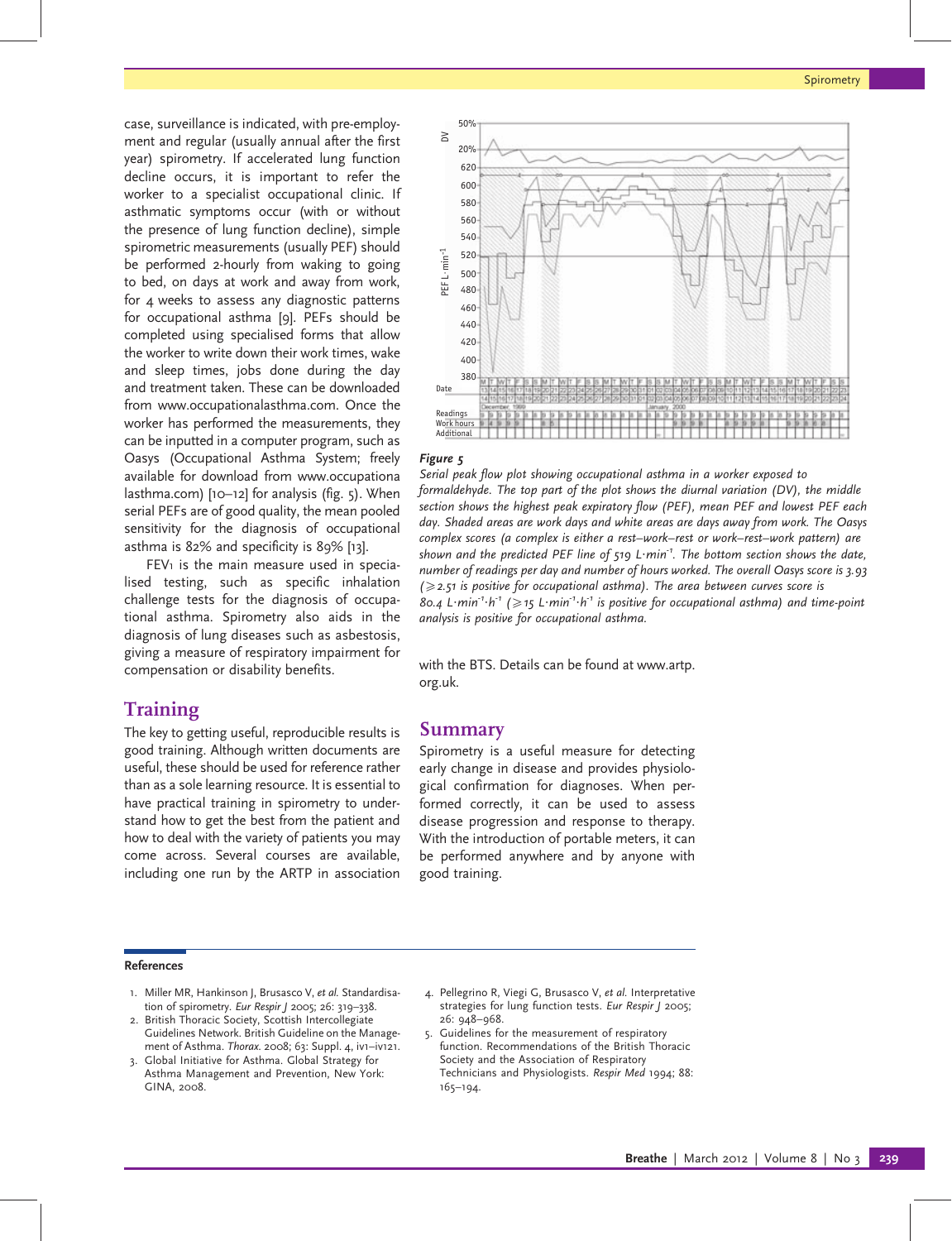case, surveillance is indicated, with pre-employment and regular (usually annual after the first year) spirometry. If accelerated lung function decline occurs, it is important to refer the worker to a specialist occupational clinic. If asthmatic symptoms occur (with or without the presence of lung function decline), simple spirometric measurements (usually PEF) should be performed 2-hourly from waking to going to bed, on days at work and away from work, for 4 weeks to assess any diagnostic patterns for occupational asthma [9]. PEFs should be completed using specialised forms that allow the worker to write down their work times, wake and sleep times, jobs done during the day and treatment taken. These can be downloaded from www.occupationalasthma.com. Once the worker has performed the measurements, they can be inputted in a computer program, such as Oasys (Occupational Asthma System; freely available for download from www.occupationa lasthma.com) [10–12] for analysis (fig. 5). When serial PEFs are of good quality, the mean pooled sensitivity for the diagnosis of occupational asthma is 82% and specificity is 89% [13].

 $FEV<sub>1</sub>$  is the main measure used in specialised testing, such as specific inhalation challenge tests for the diagnosis of occupational asthma. Spirometry also aids in the diagnosis of lung diseases such as asbestosis, giving a measure of respiratory impairment for compensation or disability benefits.

### Training

The key to getting useful, reproducible results is good training. Although written documents are useful, these should be used for reference rather than as a sole learning resource. It is essential to have practical training in spirometry to understand how to get the best from the patient and how to deal with the variety of patients you may come across. Several courses are available, including one run by the ARTP in association

#### **References**

- 1. Miller MR, Hankinson J, Brusasco V, et al. Standardisation of spirometry. Eur Respir J 2005; 26: 319–338.
- 2. British Thoracic Society, Scottish Intercollegiate Guidelines Network. British Guideline on the Management of Asthma. Thorax. 2008; 63: Suppl. 4, iv1–iv121.
- 3. Global Initiative for Asthma. Global Strategy for Asthma Management and Prevention, New York: GINA, 2008.



#### Figure 5

Serial peak flow plot showing occupational asthma in a worker exposed to formaldehyde. The top part of the plot shows the diurnal variation (DV), the middle section shows the highest peak expiratory flow (PEF), mean PEF and lowest PEF each day. Shaded areas are work days and white areas are days away from work. The Oasys complex scores (a complex is either a rest–work–rest or work–rest–work pattern) are shown and the predicted PEF line of  $519$  L $\cdot$ min<sup>-1</sup>. The bottom section shows the date, number of readings per day and number of hours worked. The overall Oasys score is 3.93  $\approx$  2.51 is positive for occupational asthma). The area between curves score is 80.4 L·min<sup>-1</sup>·h<sup>-1</sup> ( $\geq$  15 L·min<sup>-1</sup>·h<sup>-1</sup> is positive for occupational asthma) and time-point analysis is positive for occupational asthma.

with the BTS. Details can be found at www.artp. org.uk.

#### Summary

Spirometry is a useful measure for detecting early change in disease and provides physiological confirmation for diagnoses. When performed correctly, it can be used to assess disease progression and response to therapy. With the introduction of portable meters, it can be performed anywhere and by anyone with good training.

- 4. Pellegrino R, Viegi G, Brusasco V, et al. Interpretative strategies for lung function tests. Eur Respir J 2005; 26: 948–968.
- 5. Guidelines for the measurement of respiratory function. Recommendations of the British Thoracic Society and the Association of Respiratory Technicians and Physiologists. Respir Med 1994; 88: 165–194.